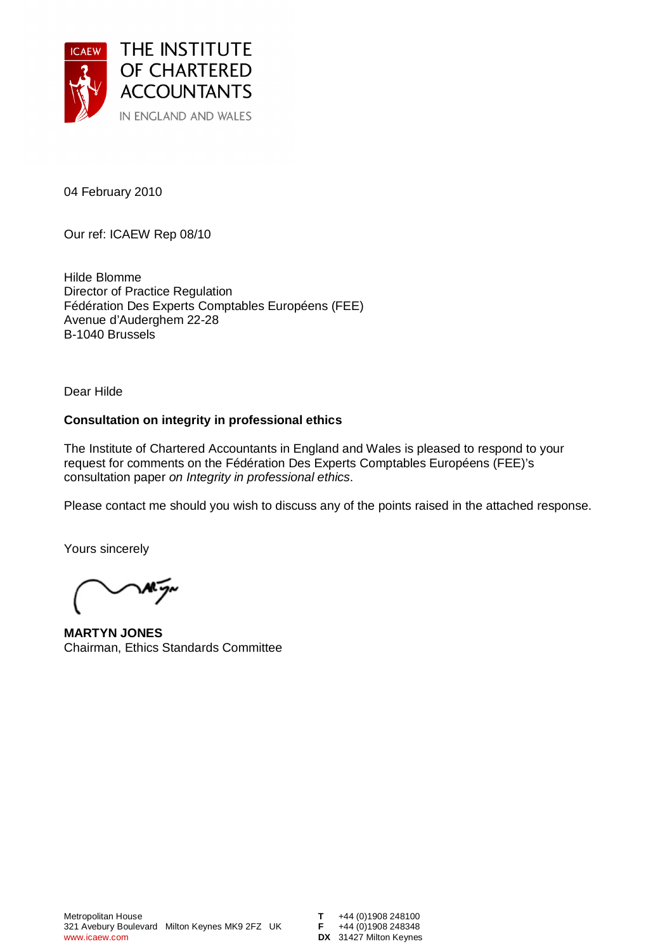

04 February 2010

Our ref: ICAEW Rep 08/10

Hilde Blomme Director of Practice Regulation Fédération Des Experts Comptables Européens (FEE) Avenue d'Auderghem 22-28 B-1040 Brussels

Dear Hilde

### **Consultation on integrity in professional ethics**

The Institute of Chartered Accountants in England and Wales is pleased to respond to your request for comments on the Fédération Des Experts Comptables Européens (FEE)'s consultation paper on Integrity in professional ethics.

Please contact me should you wish to discuss any of the points raised in the attached response.

Yours sincerely

**MARTYN JONES**  Chairman, Ethics Standards Committee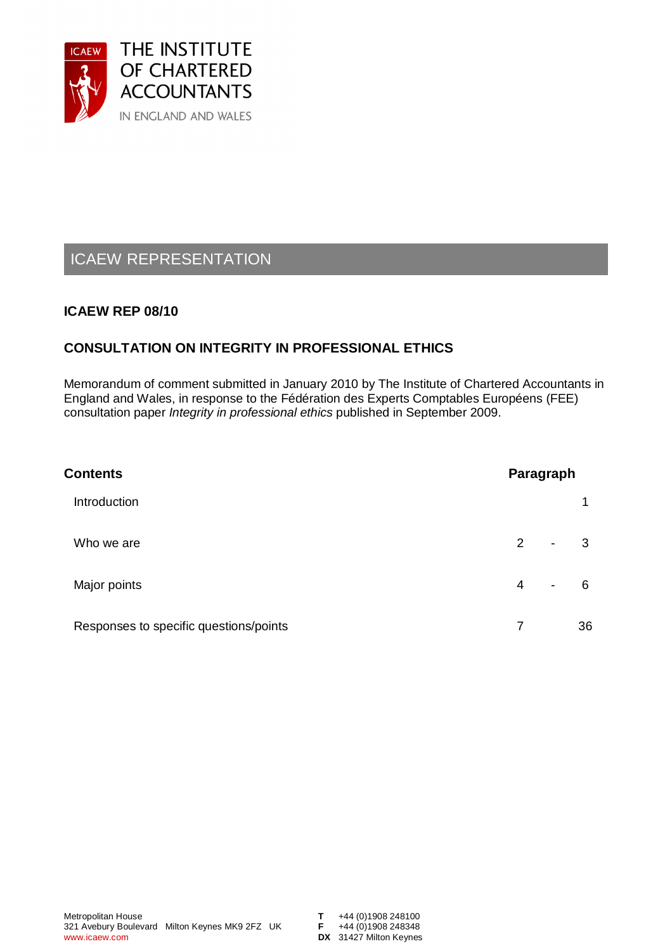

# ICAEW REPRESENTATION

# **ICAEW REP 08/10**

# **CONSULTATION ON INTEGRITY IN PROFESSIONAL ETHICS**

Memorandum of comment submitted in January 2010 by The Institute of Chartered Accountants in England and Wales, in response to the Fédération des Experts Comptables Européens (FEE) consultation paper Integrity in professional ethics published in September 2009.

| <b>Contents</b>                        |   | Paragraph                |     |  |
|----------------------------------------|---|--------------------------|-----|--|
| Introduction                           |   |                          |     |  |
| Who we are                             | 2 | $\blacksquare$           | 3   |  |
| Major points                           | 4 | $\overline{\phantom{a}}$ | - 6 |  |
| Responses to specific questions/points | 7 |                          | 36  |  |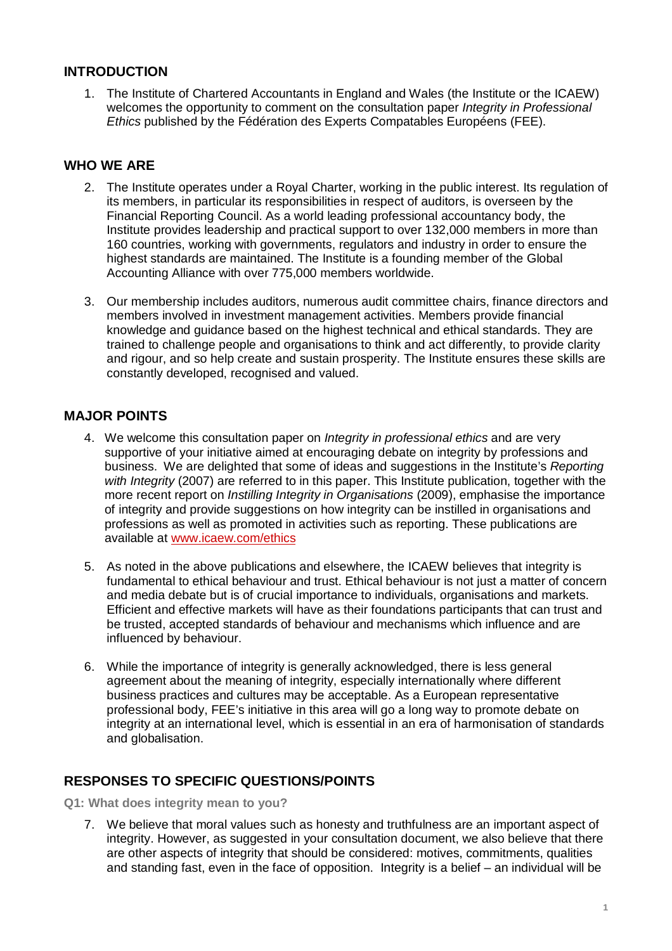# **INTRODUCTION**

1. The Institute of Chartered Accountants in England and Wales (the Institute or the ICAEW) welcomes the opportunity to comment on the consultation paper Integrity in Professional Ethics published by the Fédération des Experts Compatables Européens (FEE).

# **WHO WE ARE**

- 2. The Institute operates under a Royal Charter, working in the public interest. Its regulation of its members, in particular its responsibilities in respect of auditors, is overseen by the Financial Reporting Council. As a world leading professional accountancy body, the Institute provides leadership and practical support to over 132,000 members in more than 160 countries, working with governments, regulators and industry in order to ensure the highest standards are maintained. The Institute is a founding member of the Global Accounting Alliance with over 775,000 members worldwide.
- 3. Our membership includes auditors, numerous audit committee chairs, finance directors and members involved in investment management activities. Members provide financial knowledge and guidance based on the highest technical and ethical standards. They are trained to challenge people and organisations to think and act differently, to provide clarity and rigour, and so help create and sustain prosperity. The Institute ensures these skills are constantly developed, recognised and valued.

# **MAJOR POINTS**

- 4. We welcome this consultation paper on *Integrity in professional ethics* and are very supportive of your initiative aimed at encouraging debate on integrity by professions and business. We are delighted that some of ideas and suggestions in the Institute's Reporting with Integrity (2007) are referred to in this paper. This Institute publication, together with the more recent report on *Instilling Integrity in Organisations* (2009), emphasise the importance of integrity and provide suggestions on how integrity can be instilled in organisations and professions as well as promoted in activities such as reporting. These publications are available at [www.icaew.com/ethics](http://www.icaew.com/ethics)
- 5. As noted in the above publications and elsewhere, the ICAEW believes that integrity is fundamental to ethical behaviour and trust. Ethical behaviour is not just a matter of concern and media debate but is of crucial importance to individuals, organisations and markets. Efficient and effective markets will have as their foundations participants that can trust and be trusted, accepted standards of behaviour and mechanisms which influence and are influenced by behaviour.
- 6. While the importance of integrity is generally acknowledged, there is less general agreement about the meaning of integrity, especially internationally where different business practices and cultures may be acceptable. As a European representative professional body, FEE's initiative in this area will go a long way to promote debate on integrity at an international level, which is essential in an era of harmonisation of standards and globalisation.

# **RESPONSES TO SPECIFIC QUESTIONS/POINTS**

**Q1: What does integrity mean to you?** 

7. We believe that moral values such as honesty and truthfulness are an important aspect of integrity. However, as suggested in your consultation document, we also believe that there are other aspects of integrity that should be considered: motives, commitments, qualities and standing fast, even in the face of opposition. Integrity is a belief – an individual will be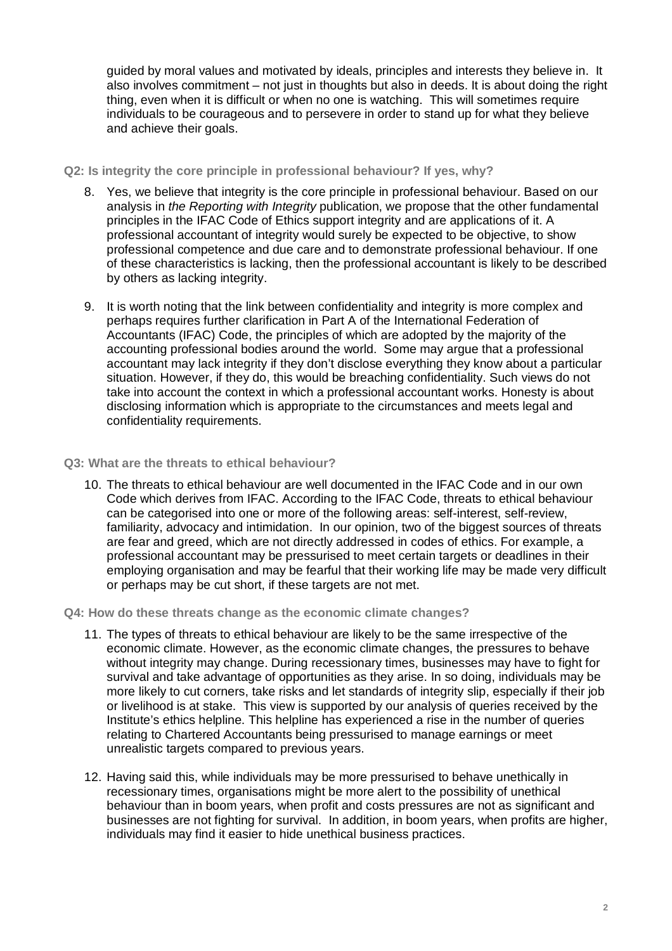guided by moral values and motivated by ideals, principles and interests they believe in. It also involves commitment – not just in thoughts but also in deeds. It is about doing the right thing, even when it is difficult or when no one is watching. This will sometimes require individuals to be courageous and to persevere in order to stand up for what they believe and achieve their goals.

### **Q2: Is integrity the core principle in professional behaviour? If yes, why?**

- 8. Yes, we believe that integrity is the core principle in professional behaviour. Based on our analysis in the Reporting with Integrity publication, we propose that the other fundamental principles in the IFAC Code of Ethics support integrity and are applications of it. A professional accountant of integrity would surely be expected to be objective, to show professional competence and due care and to demonstrate professional behaviour. If one of these characteristics is lacking, then the professional accountant is likely to be described by others as lacking integrity.
- 9. It is worth noting that the link between confidentiality and integrity is more complex and perhaps requires further clarification in Part A of the International Federation of Accountants (IFAC) Code, the principles of which are adopted by the majority of the accounting professional bodies around the world. Some may argue that a professional accountant may lack integrity if they don't disclose everything they know about a particular situation. However, if they do, this would be breaching confidentiality. Such views do not take into account the context in which a professional accountant works. Honesty is about disclosing information which is appropriate to the circumstances and meets legal and confidentiality requirements.

### **Q3: What are the threats to ethical behaviour?**

10. The threats to ethical behaviour are well documented in the IFAC Code and in our own Code which derives from IFAC. According to the IFAC Code, threats to ethical behaviour can be categorised into one or more of the following areas: self-interest, self-review, familiarity, advocacy and intimidation. In our opinion, two of the biggest sources of threats are fear and greed, which are not directly addressed in codes of ethics. For example, a professional accountant may be pressurised to meet certain targets or deadlines in their employing organisation and may be fearful that their working life may be made very difficult or perhaps may be cut short, if these targets are not met.

### **Q4: How do these threats change as the economic climate changes?**

- 11. The types of threats to ethical behaviour are likely to be the same irrespective of the economic climate. However, as the economic climate changes, the pressures to behave without integrity may change. During recessionary times, businesses may have to fight for survival and take advantage of opportunities as they arise. In so doing, individuals may be more likely to cut corners, take risks and let standards of integrity slip, especially if their job or livelihood is at stake. This view is supported by our analysis of queries received by the Institute's ethics helpline. This helpline has experienced a rise in the number of queries relating to Chartered Accountants being pressurised to manage earnings or meet unrealistic targets compared to previous years.
- 12. Having said this, while individuals may be more pressurised to behave unethically in recessionary times, organisations might be more alert to the possibility of unethical behaviour than in boom years, when profit and costs pressures are not as significant and businesses are not fighting for survival. In addition, in boom years, when profits are higher, individuals may find it easier to hide unethical business practices.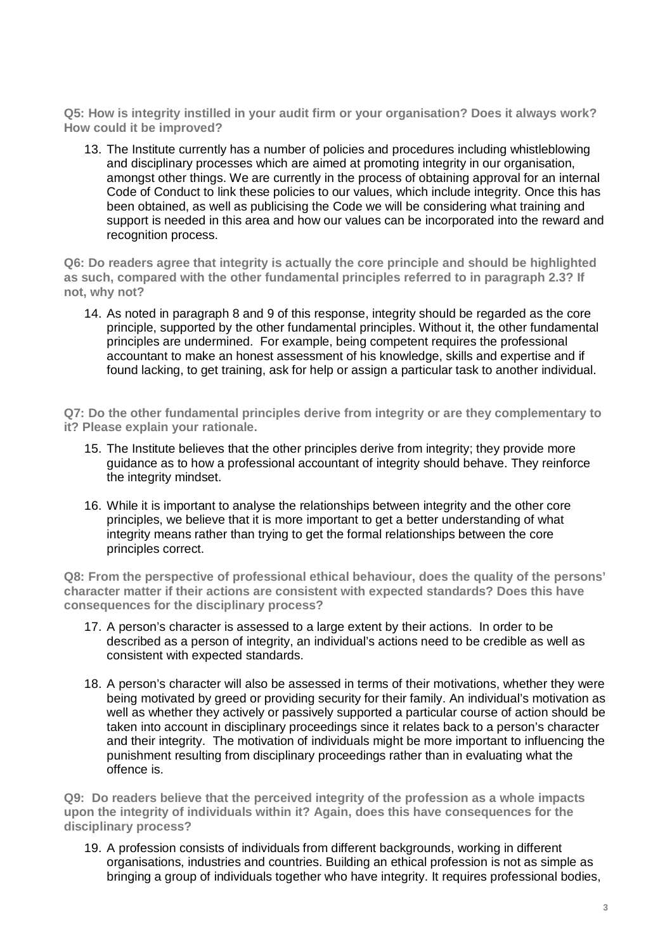**Q5: How is integrity instilled in your audit firm or your organisation? Does it always work? How could it be improved?** 

13. The Institute currently has a number of policies and procedures including whistleblowing and disciplinary processes which are aimed at promoting integrity in our organisation, amongst other things. We are currently in the process of obtaining approval for an internal Code of Conduct to link these policies to our values, which include integrity. Once this has been obtained, as well as publicising the Code we will be considering what training and support is needed in this area and how our values can be incorporated into the reward and recognition process.

**Q6: Do readers agree that integrity is actually the core principle and should be highlighted as such, compared with the other fundamental principles referred to in paragraph 2.3? If not, why not?** 

14. As noted in paragraph 8 and 9 of this response, integrity should be regarded as the core principle, supported by the other fundamental principles. Without it, the other fundamental principles are undermined. For example, being competent requires the professional accountant to make an honest assessment of his knowledge, skills and expertise and if found lacking, to get training, ask for help or assign a particular task to another individual.

**Q7: Do the other fundamental principles derive from integrity or are they complementary to it? Please explain your rationale.** 

- 15. The Institute believes that the other principles derive from integrity; they provide more guidance as to how a professional accountant of integrity should behave. They reinforce the integrity mindset.
- 16. While it is important to analyse the relationships between integrity and the other core principles, we believe that it is more important to get a better understanding of what integrity means rather than trying to get the formal relationships between the core principles correct.

**Q8: From the perspective of professional ethical behaviour, does the quality of the persons' character matter if their actions are consistent with expected standards? Does this have consequences for the disciplinary process?** 

- 17. A person's character is assessed to a large extent by their actions. In order to be described as a person of integrity, an individual's actions need to be credible as well as consistent with expected standards.
- 18. A person's character will also be assessed in terms of their motivations, whether they were being motivated by greed or providing security for their family. An individual's motivation as well as whether they actively or passively supported a particular course of action should be taken into account in disciplinary proceedings since it relates back to a person's character and their integrity. The motivation of individuals might be more important to influencing the punishment resulting from disciplinary proceedings rather than in evaluating what the offence is.

**Q9: Do readers believe that the perceived integrity of the profession as a whole impacts upon the integrity of individuals within it? Again, does this have consequences for the disciplinary process?** 

19. A profession consists of individuals from different backgrounds, working in different organisations, industries and countries. Building an ethical profession is not as simple as bringing a group of individuals together who have integrity. It requires professional bodies,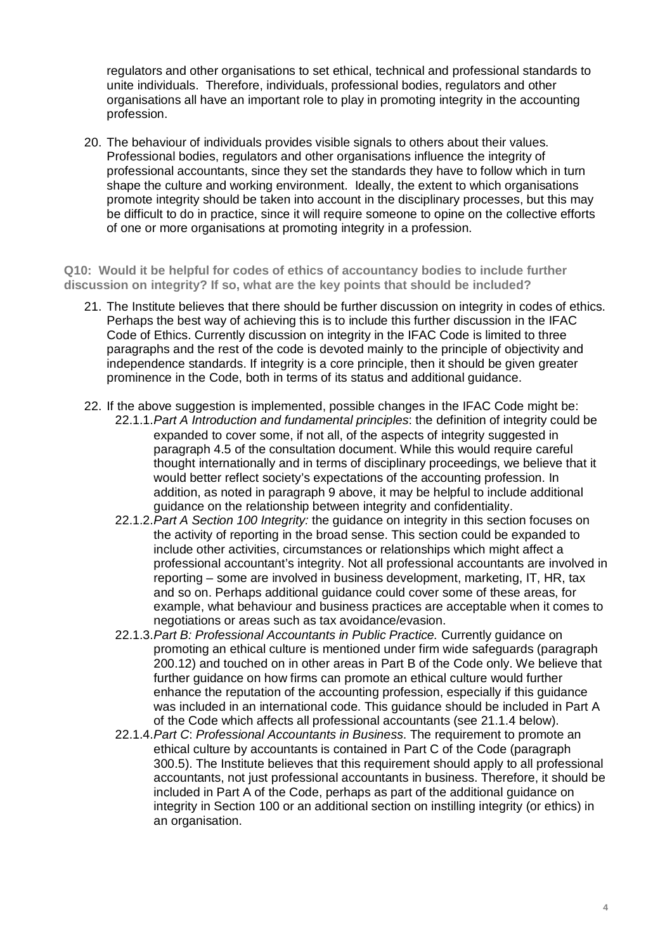regulators and other organisations to set ethical, technical and professional standards to unite individuals. Therefore, individuals, professional bodies, regulators and other organisations all have an important role to play in promoting integrity in the accounting profession.

20. The behaviour of individuals provides visible signals to others about their values. Professional bodies, regulators and other organisations influence the integrity of professional accountants, since they set the standards they have to follow which in turn shape the culture and working environment. Ideally, the extent to which organisations promote integrity should be taken into account in the disciplinary processes, but this may be difficult to do in practice, since it will require someone to opine on the collective efforts of one or more organisations at promoting integrity in a profession.

**Q10: Would it be helpful for codes of ethics of accountancy bodies to include further discussion on integrity? If so, what are the key points that should be included?** 

- 21. The Institute believes that there should be further discussion on integrity in codes of ethics. Perhaps the best way of achieving this is to include this further discussion in the IFAC Code of Ethics. Currently discussion on integrity in the IFAC Code is limited to three paragraphs and the rest of the code is devoted mainly to the principle of objectivity and independence standards. If integrity is a core principle, then it should be given greater prominence in the Code, both in terms of its status and additional guidance.
- 22. If the above suggestion is implemented, possible changes in the IFAC Code might be: 22.1.1. Part A Introduction and fundamental principles: the definition of integrity could be expanded to cover some, if not all, of the aspects of integrity suggested in paragraph 4.5 of the consultation document. While this would require careful thought internationally and in terms of disciplinary proceedings, we believe that it would better reflect society's expectations of the accounting profession. In addition, as noted in paragraph 9 above, it may be helpful to include additional guidance on the relationship between integrity and confidentiality.
	- 22.1.2. Part A Section 100 Integrity: the guidance on integrity in this section focuses on the activity of reporting in the broad sense. This section could be expanded to include other activities, circumstances or relationships which might affect a professional accountant's integrity. Not all professional accountants are involved in reporting – some are involved in business development, marketing, IT, HR, tax and so on. Perhaps additional guidance could cover some of these areas, for example, what behaviour and business practices are acceptable when it comes to negotiations or areas such as tax avoidance/evasion.
	- 22.1.3. Part B: Professional Accountants in Public Practice. Currently guidance on promoting an ethical culture is mentioned under firm wide safeguards (paragraph 200.12) and touched on in other areas in Part B of the Code only. We believe that further guidance on how firms can promote an ethical culture would further enhance the reputation of the accounting profession, especially if this guidance was included in an international code. This guidance should be included in Part A of the Code which affects all professional accountants (see 21.1.4 below).
	- 22.1.4. Part C: Professional Accountants in Business. The requirement to promote an ethical culture by accountants is contained in Part C of the Code (paragraph 300.5). The Institute believes that this requirement should apply to all professional accountants, not just professional accountants in business. Therefore, it should be included in Part A of the Code, perhaps as part of the additional guidance on integrity in Section 100 or an additional section on instilling integrity (or ethics) in an organisation.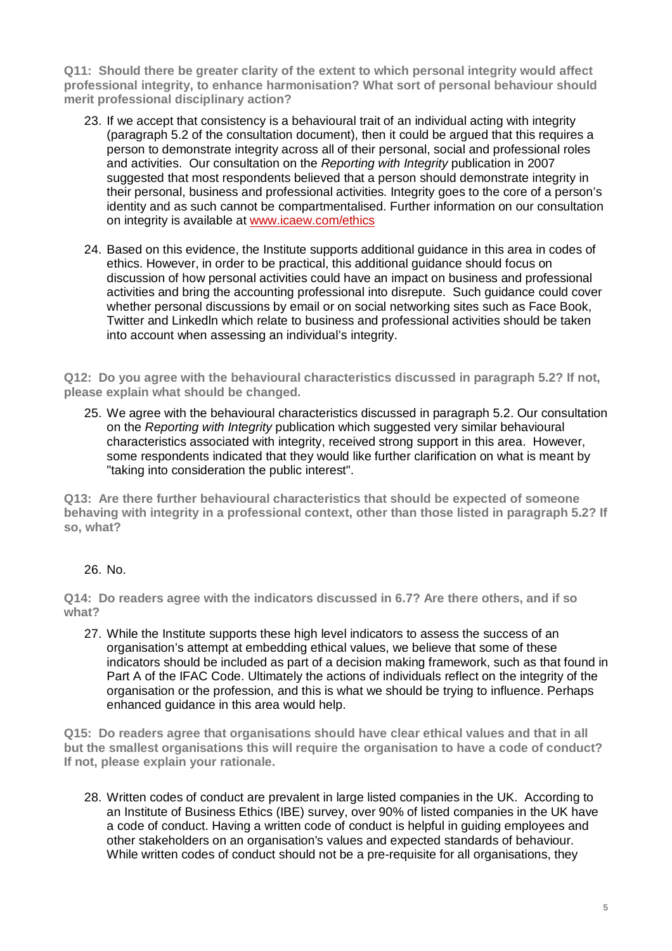**Q11: Should there be greater clarity of the extent to which personal integrity would affect professional integrity, to enhance harmonisation? What sort of personal behaviour should merit professional disciplinary action?** 

- 23. If we accept that consistency is a behavioural trait of an individual acting with integrity (paragraph 5.2 of the consultation document), then it could be argued that this requires a person to demonstrate integrity across all of their personal, social and professional roles and activities. Our consultation on the Reporting with Integrity publication in 2007 suggested that most respondents believed that a person should demonstrate integrity in their personal, business and professional activities. Integrity goes to the core of a person's identity and as such cannot be compartmentalised. Further information on our consultation on integrity is available at [www.icaew.com/ethics](http://www.icaew.com/ethics)
- 24. Based on this evidence, the Institute supports additional guidance in this area in codes of ethics. However, in order to be practical, this additional guidance should focus on discussion of how personal activities could have an impact on business and professional activities and bring the accounting professional into disrepute. Such guidance could cover whether personal discussions by email or on social networking sites such as Face Book, Twitter and Linkedln which relate to business and professional activities should be taken into account when assessing an individual's integrity.

**Q12: Do you agree with the behavioural characteristics discussed in paragraph 5.2? If not, please explain what should be changed.** 

25. We agree with the behavioural characteristics discussed in paragraph 5.2. Our consultation on the Reporting with Integrity publication which suggested very similar behavioural characteristics associated with integrity, received strong support in this area. However, some respondents indicated that they would like further clarification on what is meant by "taking into consideration the public interest".

**Q13: Are there further behavioural characteristics that should be expected of someone behaving with integrity in a professional context, other than those listed in paragraph 5.2? If so, what?** 

### 26. No.

**Q14: Do readers agree with the indicators discussed in 6.7? Are there others, and if so what?** 

27. While the Institute supports these high level indicators to assess the success of an organisation's attempt at embedding ethical values, we believe that some of these indicators should be included as part of a decision making framework, such as that found in Part A of the IFAC Code. Ultimately the actions of individuals reflect on the integrity of the organisation or the profession, and this is what we should be trying to influence. Perhaps enhanced guidance in this area would help.

**Q15: Do readers agree that organisations should have clear ethical values and that in all but the smallest organisations this will require the organisation to have a code of conduct? If not, please explain your rationale.** 

28. Written codes of conduct are prevalent in large listed companies in the UK. According to an Institute of Business Ethics (IBE) survey, over 90% of listed companies in the UK have a code of conduct. Having a written code of conduct is helpful in guiding employees and other stakeholders on an organisation's values and expected standards of behaviour. While written codes of conduct should not be a pre-requisite for all organisations, they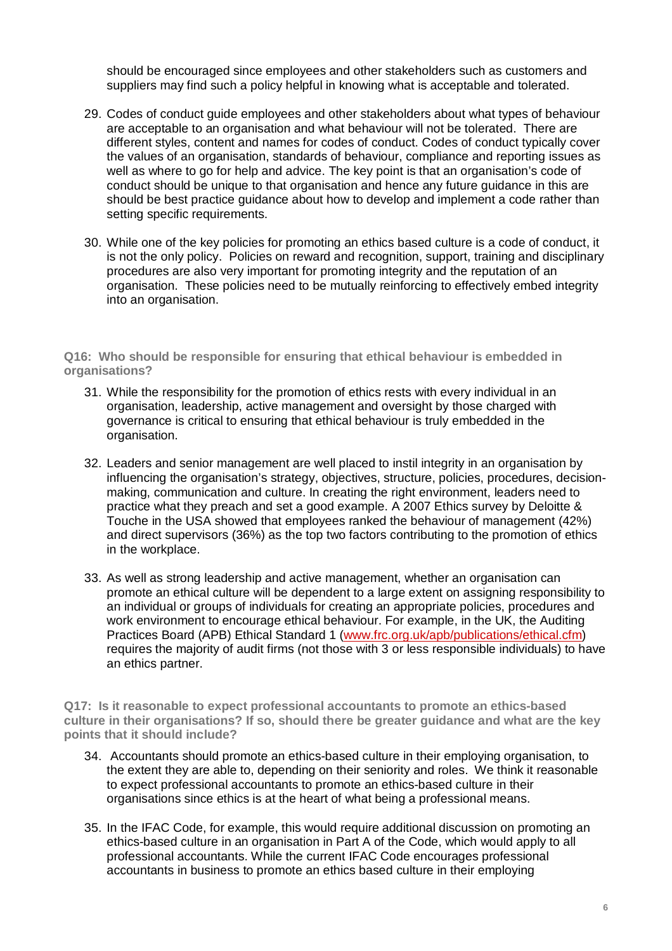should be encouraged since employees and other stakeholders such as customers and suppliers may find such a policy helpful in knowing what is acceptable and tolerated.

- 29. Codes of conduct guide employees and other stakeholders about what types of behaviour are acceptable to an organisation and what behaviour will not be tolerated. There are different styles, content and names for codes of conduct. Codes of conduct typically cover the values of an organisation, standards of behaviour, compliance and reporting issues as well as where to go for help and advice. The key point is that an organisation's code of conduct should be unique to that organisation and hence any future guidance in this are should be best practice guidance about how to develop and implement a code rather than setting specific requirements.
- 30. While one of the key policies for promoting an ethics based culture is a code of conduct, it is not the only policy. Policies on reward and recognition, support, training and disciplinary procedures are also very important for promoting integrity and the reputation of an organisation. These policies need to be mutually reinforcing to effectively embed integrity into an organisation.

**Q16: Who should be responsible for ensuring that ethical behaviour is embedded in organisations?** 

- 31. While the responsibility for the promotion of ethics rests with every individual in an organisation, leadership, active management and oversight by those charged with governance is critical to ensuring that ethical behaviour is truly embedded in the organisation.
- 32. Leaders and senior management are well placed to instil integrity in an organisation by influencing the organisation's strategy, objectives, structure, policies, procedures, decisionmaking, communication and culture. In creating the right environment, leaders need to practice what they preach and set a good example. A 2007 Ethics survey by Deloitte & Touche in the USA showed that employees ranked the behaviour of management (42%) and direct supervisors (36%) as the top two factors contributing to the promotion of ethics in the workplace.
- 33. As well as strong leadership and active management, whether an organisation can promote an ethical culture will be dependent to a large extent on assigning responsibility to an individual or groups of individuals for creating an appropriate policies, procedures and work environment to encourage ethical behaviour. For example, in the UK, the Auditing Practices Board (APB) Ethical Standard 1 [\(www.frc.org.uk/apb/publications/ethical.cfm\)](http://www.frc.org.uk/apb/publications/ethical.cfm)  requires the majority of audit firms (not those with 3 or less responsible individuals) to have an ethics partner.

**Q17: Is it reasonable to expect professional accountants to promote an ethics-based culture in their organisations? If so, should there be greater guidance and what are the key points that it should include?** 

- 34. Accountants should promote an ethics-based culture in their employing organisation, to the extent they are able to, depending on their seniority and roles. We think it reasonable to expect professional accountants to promote an ethics-based culture in their organisations since ethics is at the heart of what being a professional means.
- 35. In the IFAC Code, for example, this would require additional discussion on promoting an ethics-based culture in an organisation in Part A of the Code, which would apply to all professional accountants. While the current IFAC Code encourages professional accountants in business to promote an ethics based culture in their employing